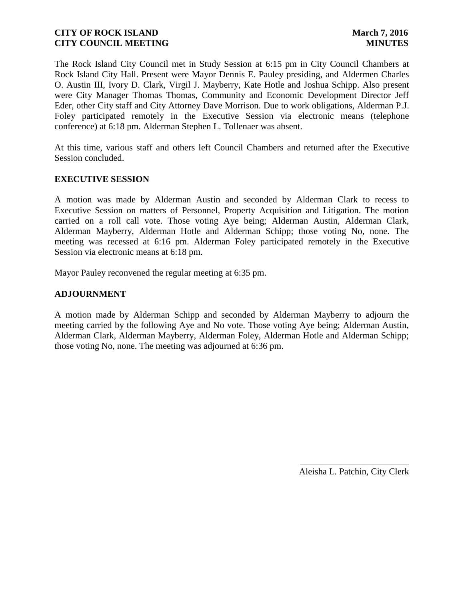The Rock Island City Council met in Study Session at 6:15 pm in City Council Chambers at Rock Island City Hall. Present were Mayor Dennis E. Pauley presiding, and Aldermen Charles O. Austin III, Ivory D. Clark, Virgil J. Mayberry, Kate Hotle and Joshua Schipp. Also present were City Manager Thomas Thomas, Community and Economic Development Director Jeff Eder, other City staff and City Attorney Dave Morrison. Due to work obligations, Alderman P.J. Foley participated remotely in the Executive Session via electronic means (telephone conference) at 6:18 pm. Alderman Stephen L. Tollenaer was absent.

At this time, various staff and others left Council Chambers and returned after the Executive Session concluded.

### **EXECUTIVE SESSION**

A motion was made by Alderman Austin and seconded by Alderman Clark to recess to Executive Session on matters of Personnel, Property Acquisition and Litigation. The motion carried on a roll call vote. Those voting Aye being; Alderman Austin, Alderman Clark, Alderman Mayberry, Alderman Hotle and Alderman Schipp; those voting No, none. The meeting was recessed at 6:16 pm. Alderman Foley participated remotely in the Executive Session via electronic means at 6:18 pm.

Mayor Pauley reconvened the regular meeting at 6:35 pm.

### **ADJOURNMENT**

A motion made by Alderman Schipp and seconded by Alderman Mayberry to adjourn the meeting carried by the following Aye and No vote. Those voting Aye being; Alderman Austin, Alderman Clark, Alderman Mayberry, Alderman Foley, Alderman Hotle and Alderman Schipp; those voting No, none. The meeting was adjourned at 6:36 pm.

> \_\_\_\_\_\_\_\_\_\_\_\_\_\_\_\_\_\_\_\_\_\_\_\_ Aleisha L. Patchin, City Clerk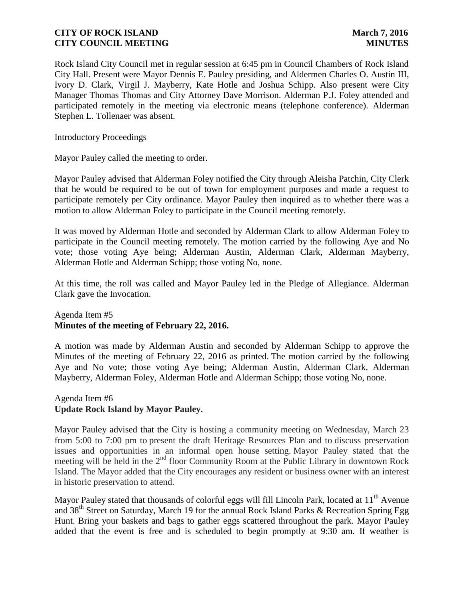Rock Island City Council met in regular session at 6:45 pm in Council Chambers of Rock Island City Hall. Present were Mayor Dennis E. Pauley presiding, and Aldermen Charles O. Austin III, Ivory D. Clark, Virgil J. Mayberry, Kate Hotle and Joshua Schipp. Also present were City Manager Thomas Thomas and City Attorney Dave Morrison. Alderman P.J. Foley attended and participated remotely in the meeting via electronic means (telephone conference). Alderman Stephen L. Tollenaer was absent.

Introductory Proceedings

Mayor Pauley called the meeting to order.

Mayor Pauley advised that Alderman Foley notified the City through Aleisha Patchin, City Clerk that he would be required to be out of town for employment purposes and made a request to participate remotely per City ordinance. Mayor Pauley then inquired as to whether there was a motion to allow Alderman Foley to participate in the Council meeting remotely.

It was moved by Alderman Hotle and seconded by Alderman Clark to allow Alderman Foley to participate in the Council meeting remotely. The motion carried by the following Aye and No vote; those voting Aye being; Alderman Austin, Alderman Clark, Alderman Mayberry, Alderman Hotle and Alderman Schipp; those voting No, none.

At this time, the roll was called and Mayor Pauley led in the Pledge of Allegiance. Alderman Clark gave the Invocation.

### Agenda Item #5 **Minutes of the meeting of February 22, 2016.**

A motion was made by Alderman Austin and seconded by Alderman Schipp to approve the Minutes of the meeting of February 22, 2016 as printed. The motion carried by the following Aye and No vote; those voting Aye being; Alderman Austin, Alderman Clark, Alderman Mayberry, Alderman Foley, Alderman Hotle and Alderman Schipp; those voting No, none.

### Agenda Item #6 **Update Rock Island by Mayor Pauley.**

Mayor Pauley advised that the City is hosting a community meeting on Wednesday, March 23 from 5:00 to 7:00 pm to present the draft Heritage Resources Plan and to discuss preservation issues and opportunities in an informal open house setting. Mayor Pauley stated that the meeting will be held in the  $2<sup>nd</sup>$  floor Community Room at the Public Library in downtown Rock Island. The Mayor added that the City encourages any resident or business owner with an interest in historic preservation to attend.

Mayor Pauley stated that thousands of colorful eggs will fill Lincoln Park, located at 11<sup>th</sup> Avenue and 38<sup>th</sup> Street on Saturday, March 19 for the annual Rock Island Parks & Recreation Spring Egg Hunt. Bring your baskets and bags to gather eggs scattered throughout the park. Mayor Pauley added that the event is free and is scheduled to begin promptly at 9:30 am. If weather is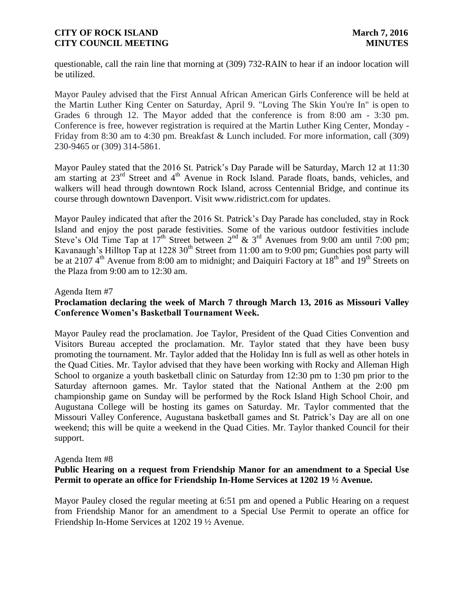questionable, call the rain line that morning at (309) 732-RAIN to hear if an indoor location will be utilized.

Mayor Pauley advised that the First Annual African American Girls Conference will be held at the Martin Luther King Center on Saturday, April 9. "Loving The Skin You're In" is open to Grades 6 through 12. The Mayor added that the conference is from 8:00 am - 3:30 pm. Conference is free, however registration is required at the Martin Luther King Center, Monday - Friday from 8:30 am to 4:30 pm. Breakfast & Lunch included. For more information, call (309) 230-9465 or (309) 314-5861.

Mayor Pauley stated that the 2016 St. Patrick's Day Parade will be Saturday, March 12 at 11:30 am starting at  $23<sup>rd</sup>$  Street and  $4<sup>th</sup>$  Avenue in Rock Island. Parade floats, bands, vehicles, and walkers will head through downtown Rock Island, across Centennial Bridge, and continue its course through downtown Davenport. Visit www.ridistrict.com for updates.

Mayor Pauley indicated that after the 2016 St. Patrick's Day Parade has concluded, stay in Rock Island and enjoy the post parade festivities. Some of the various outdoor festivities include Steve's Old Time Tap at  $17^{th}$  Street between  $2^{nd}$  &  $3^{rd}$  Avenues from 9:00 am until 7:00 pm; Kavanaugh's Hilltop Tap at 1228 30<sup>th</sup> Street from 11:00 am to 9:00 pm; Gunchies post party will be at 2107 4<sup>th</sup> Avenue from 8:00 am to midnight; and Daiquiri Factory at 18<sup>th</sup> and 19<sup>th</sup> Streets on the Plaza from 9:00 am to 12:30 am.

#### Agenda Item #7

# **Proclamation declaring the week of March 7 through March 13, 2016 as Missouri Valley Conference Women's Basketball Tournament Week.**

Mayor Pauley read the proclamation. Joe Taylor, President of the Quad Cities Convention and Visitors Bureau accepted the proclamation. Mr. Taylor stated that they have been busy promoting the tournament. Mr. Taylor added that the Holiday Inn is full as well as other hotels in the Quad Cities. Mr. Taylor advised that they have been working with Rocky and Alleman High School to organize a youth basketball clinic on Saturday from 12:30 pm to 1:30 pm prior to the Saturday afternoon games. Mr. Taylor stated that the National Anthem at the 2:00 pm championship game on Sunday will be performed by the Rock Island High School Choir, and Augustana College will be hosting its games on Saturday. Mr. Taylor commented that the Missouri Valley Conference, Augustana basketball games and St. Patrick's Day are all on one weekend; this will be quite a weekend in the Quad Cities. Mr. Taylor thanked Council for their support.

#### Agenda Item #8

# **Public Hearing on a request from Friendship Manor for an amendment to a Special Use Permit to operate an office for Friendship In-Home Services at 1202 19 ½ Avenue.**

Mayor Pauley closed the regular meeting at 6:51 pm and opened a Public Hearing on a request from Friendship Manor for an amendment to a Special Use Permit to operate an office for Friendship In-Home Services at 1202 19 ½ Avenue.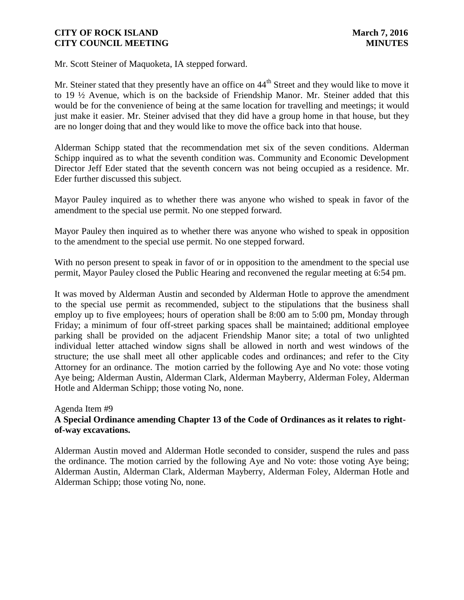Mr. Scott Steiner of Maquoketa, IA stepped forward.

Mr. Steiner stated that they presently have an office on 44<sup>th</sup> Street and they would like to move it to 19 ½ Avenue, which is on the backside of Friendship Manor. Mr. Steiner added that this would be for the convenience of being at the same location for travelling and meetings; it would just make it easier. Mr. Steiner advised that they did have a group home in that house, but they are no longer doing that and they would like to move the office back into that house.

Alderman Schipp stated that the recommendation met six of the seven conditions. Alderman Schipp inquired as to what the seventh condition was. Community and Economic Development Director Jeff Eder stated that the seventh concern was not being occupied as a residence. Mr. Eder further discussed this subject.

Mayor Pauley inquired as to whether there was anyone who wished to speak in favor of the amendment to the special use permit. No one stepped forward.

Mayor Pauley then inquired as to whether there was anyone who wished to speak in opposition to the amendment to the special use permit. No one stepped forward.

With no person present to speak in favor of or in opposition to the amendment to the special use permit, Mayor Pauley closed the Public Hearing and reconvened the regular meeting at 6:54 pm.

It was moved by Alderman Austin and seconded by Alderman Hotle to approve the amendment to the special use permit as recommended, subject to the stipulations that the business shall employ up to five employees; hours of operation shall be 8:00 am to 5:00 pm, Monday through Friday; a minimum of four off-street parking spaces shall be maintained; additional employee parking shall be provided on the adjacent Friendship Manor site; a total of two unlighted individual letter attached window signs shall be allowed in north and west windows of the structure; the use shall meet all other applicable codes and ordinances; and refer to the City Attorney for an ordinance. The motion carried by the following Aye and No vote: those voting Aye being; Alderman Austin, Alderman Clark, Alderman Mayberry, Alderman Foley, Alderman Hotle and Alderman Schipp; those voting No, none.

### Agenda Item #9

# **A Special Ordinance amending Chapter 13 of the Code of Ordinances as it relates to rightof-way excavations.**

Alderman Austin moved and Alderman Hotle seconded to consider, suspend the rules and pass the ordinance. The motion carried by the following Aye and No vote: those voting Aye being; Alderman Austin, Alderman Clark, Alderman Mayberry, Alderman Foley, Alderman Hotle and Alderman Schipp; those voting No, none.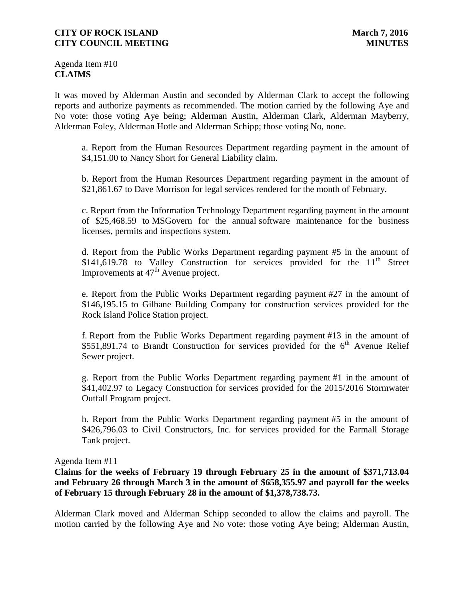Agenda Item #10 **CLAIMS**

It was moved by Alderman Austin and seconded by Alderman Clark to accept the following reports and authorize payments as recommended. The motion carried by the following Aye and No vote: those voting Aye being; Alderman Austin, Alderman Clark, Alderman Mayberry, Alderman Foley, Alderman Hotle and Alderman Schipp; those voting No, none.

a. Report from the Human Resources Department regarding payment in the amount of \$4,151.00 to Nancy Short for General Liability claim.

b. Report from the Human Resources Department regarding payment in the amount of \$21,861.67 to Dave Morrison for legal services rendered for the month of February.

c. Report from the Information Technology Department regarding payment in the amount of \$25,468.59 to MSGovern for the annual software maintenance for the business licenses, permits and inspections system.

d. Report from the Public Works Department regarding payment #5 in the amount of \$141,619.78 to Valley Construction for services provided for the  $11<sup>th</sup>$  Street Improvements at  $47<sup>th</sup>$  Avenue project.

e. Report from the Public Works Department regarding payment #27 in the amount of \$146,195.15 to Gilbane Building Company for construction services provided for the Rock Island Police Station project.

f. Report from the Public Works Department regarding payment #13 in the amount of  $$551,891.74$  to Brandt Construction for services provided for the 6<sup>th</sup> Avenue Relief Sewer project.

g. Report from the Public Works Department regarding payment #1 in the amount of \$41,402.97 to Legacy Construction for services provided for the 2015/2016 Stormwater Outfall Program project.

h. Report from the Public Works Department regarding payment #5 in the amount of \$426,796.03 to Civil Constructors, Inc. for services provided for the Farmall Storage Tank project.

Agenda Item #11

**Claims for the weeks of February 19 through February 25 in the amount of \$371,713.04 and February 26 through March 3 in the amount of \$658,355.97 and payroll for the weeks of February 15 through February 28 in the amount of \$1,378,738.73.**

Alderman Clark moved and Alderman Schipp seconded to allow the claims and payroll. The motion carried by the following Aye and No vote: those voting Aye being; Alderman Austin,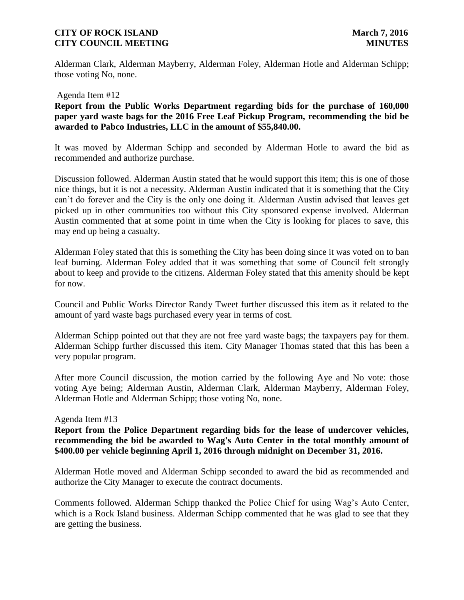Alderman Clark, Alderman Mayberry, Alderman Foley, Alderman Hotle and Alderman Schipp; those voting No, none.

#### Agenda Item #12

**Report from the Public Works Department regarding bids for the purchase of 160,000 paper yard waste bags for the 2016 Free Leaf Pickup Program, recommending the bid be awarded to Pabco Industries, LLC in the amount of \$55,840.00.** 

It was moved by Alderman Schipp and seconded by Alderman Hotle to award the bid as recommended and authorize purchase.

Discussion followed. Alderman Austin stated that he would support this item; this is one of those nice things, but it is not a necessity. Alderman Austin indicated that it is something that the City can't do forever and the City is the only one doing it. Alderman Austin advised that leaves get picked up in other communities too without this City sponsored expense involved. Alderman Austin commented that at some point in time when the City is looking for places to save, this may end up being a casualty.

Alderman Foley stated that this is something the City has been doing since it was voted on to ban leaf burning. Alderman Foley added that it was something that some of Council felt strongly about to keep and provide to the citizens. Alderman Foley stated that this amenity should be kept for now.

Council and Public Works Director Randy Tweet further discussed this item as it related to the amount of yard waste bags purchased every year in terms of cost.

Alderman Schipp pointed out that they are not free yard waste bags; the taxpayers pay for them. Alderman Schipp further discussed this item. City Manager Thomas stated that this has been a very popular program.

After more Council discussion, the motion carried by the following Aye and No vote: those voting Aye being; Alderman Austin, Alderman Clark, Alderman Mayberry, Alderman Foley, Alderman Hotle and Alderman Schipp; those voting No, none.

#### Agenda Item #13

**Report from the Police Department regarding bids for the lease of undercover vehicles, recommending the bid be awarded to Wag's Auto Center in the total monthly amount of \$400.00 per vehicle beginning April 1, 2016 through midnight on December 31, 2016.**

Alderman Hotle moved and Alderman Schipp seconded to award the bid as recommended and authorize the City Manager to execute the contract documents.

Comments followed. Alderman Schipp thanked the Police Chief for using Wag's Auto Center, which is a Rock Island business. Alderman Schipp commented that he was glad to see that they are getting the business.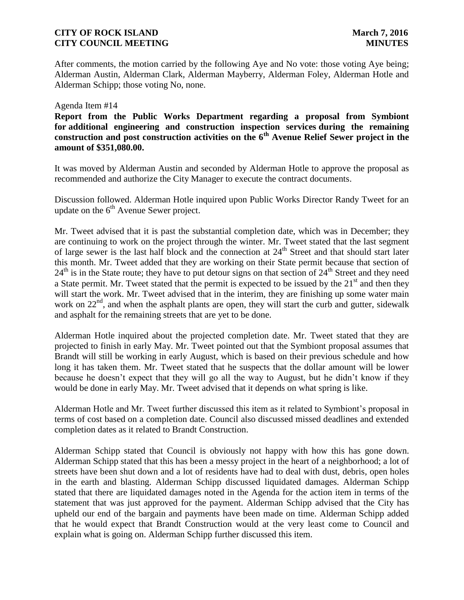After comments, the motion carried by the following Aye and No vote: those voting Aye being; Alderman Austin, Alderman Clark, Alderman Mayberry, Alderman Foley, Alderman Hotle and Alderman Schipp; those voting No, none.

#### Agenda Item #14

# **Report from the Public Works Department regarding a proposal from Symbiont for additional engineering and construction inspection services during the remaining construction and post construction activities on the 6th Avenue Relief Sewer project in the amount of \$351,080.00.**

It was moved by Alderman Austin and seconded by Alderman Hotle to approve the proposal as recommended and authorize the City Manager to execute the contract documents.

Discussion followed. Alderman Hotle inquired upon Public Works Director Randy Tweet for an update on the  $6<sup>th</sup>$  Avenue Sewer project.

Mr. Tweet advised that it is past the substantial completion date, which was in December; they are continuing to work on the project through the winter. Mr. Tweet stated that the last segment of large sewer is the last half block and the connection at 24<sup>th</sup> Street and that should start later this month. Mr. Tweet added that they are working on their State permit because that section of  $24<sup>th</sup>$  is in the State route; they have to put detour signs on that section of  $24<sup>th</sup>$  Street and they need a State permit. Mr. Tweet stated that the permit is expected to be issued by the  $21<sup>st</sup>$  and then they will start the work. Mr. Tweet advised that in the interim, they are finishing up some water main work on  $22<sup>nd</sup>$ , and when the asphalt plants are open, they will start the curb and gutter, sidewalk and asphalt for the remaining streets that are yet to be done.

Alderman Hotle inquired about the projected completion date. Mr. Tweet stated that they are projected to finish in early May. Mr. Tweet pointed out that the Symbiont proposal assumes that Brandt will still be working in early August, which is based on their previous schedule and how long it has taken them. Mr. Tweet stated that he suspects that the dollar amount will be lower because he doesn't expect that they will go all the way to August, but he didn't know if they would be done in early May. Mr. Tweet advised that it depends on what spring is like.

Alderman Hotle and Mr. Tweet further discussed this item as it related to Symbiont's proposal in terms of cost based on a completion date. Council also discussed missed deadlines and extended completion dates as it related to Brandt Construction.

Alderman Schipp stated that Council is obviously not happy with how this has gone down. Alderman Schipp stated that this has been a messy project in the heart of a neighborhood; a lot of streets have been shut down and a lot of residents have had to deal with dust, debris, open holes in the earth and blasting. Alderman Schipp discussed liquidated damages. Alderman Schipp stated that there are liquidated damages noted in the Agenda for the action item in terms of the statement that was just approved for the payment. Alderman Schipp advised that the City has upheld our end of the bargain and payments have been made on time. Alderman Schipp added that he would expect that Brandt Construction would at the very least come to Council and explain what is going on. Alderman Schipp further discussed this item.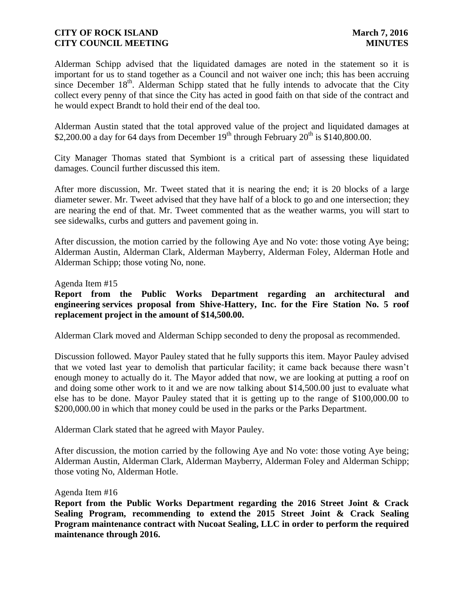Alderman Schipp advised that the liquidated damages are noted in the statement so it is important for us to stand together as a Council and not waiver one inch; this has been accruing since December  $18<sup>th</sup>$ . Alderman Schipp stated that he fully intends to advocate that the City collect every penny of that since the City has acted in good faith on that side of the contract and he would expect Brandt to hold their end of the deal too.

Alderman Austin stated that the total approved value of the project and liquidated damages at \$2,200.00 a day for 64 days from December  $19<sup>th</sup>$  through February  $20<sup>th</sup>$  is \$140,800.00.

City Manager Thomas stated that Symbiont is a critical part of assessing these liquidated damages. Council further discussed this item.

After more discussion, Mr. Tweet stated that it is nearing the end; it is 20 blocks of a large diameter sewer. Mr. Tweet advised that they have half of a block to go and one intersection; they are nearing the end of that. Mr. Tweet commented that as the weather warms, you will start to see sidewalks, curbs and gutters and pavement going in.

After discussion, the motion carried by the following Aye and No vote: those voting Aye being; Alderman Austin, Alderman Clark, Alderman Mayberry, Alderman Foley, Alderman Hotle and Alderman Schipp; those voting No, none.

#### Agenda Item #15

# **Report from the Public Works Department regarding an architectural and engineering services proposal from Shive-Hattery, Inc. for the Fire Station No. 5 roof replacement project in the amount of \$14,500.00.**

Alderman Clark moved and Alderman Schipp seconded to deny the proposal as recommended.

Discussion followed. Mayor Pauley stated that he fully supports this item. Mayor Pauley advised that we voted last year to demolish that particular facility; it came back because there wasn't enough money to actually do it. The Mayor added that now, we are looking at putting a roof on and doing some other work to it and we are now talking about \$14,500.00 just to evaluate what else has to be done. Mayor Pauley stated that it is getting up to the range of \$100,000.00 to \$200,000.00 in which that money could be used in the parks or the Parks Department.

Alderman Clark stated that he agreed with Mayor Pauley.

After discussion, the motion carried by the following Aye and No vote: those voting Aye being; Alderman Austin, Alderman Clark, Alderman Mayberry, Alderman Foley and Alderman Schipp; those voting No, Alderman Hotle.

#### Agenda Item #16

**Report from the Public Works Department regarding the 2016 Street Joint & Crack Sealing Program, recommending to extend the 2015 Street Joint & Crack Sealing Program maintenance contract with Nucoat Sealing, LLC in order to perform the required maintenance through 2016.**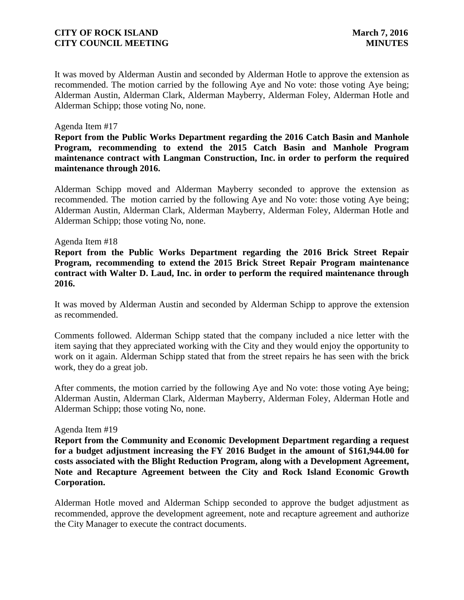It was moved by Alderman Austin and seconded by Alderman Hotle to approve the extension as recommended. The motion carried by the following Aye and No vote: those voting Aye being; Alderman Austin, Alderman Clark, Alderman Mayberry, Alderman Foley, Alderman Hotle and Alderman Schipp; those voting No, none.

#### Agenda Item #17

**Report from the Public Works Department regarding the 2016 Catch Basin and Manhole Program, recommending to extend the 2015 Catch Basin and Manhole Program maintenance contract with Langman Construction, Inc. in order to perform the required maintenance through 2016.**

Alderman Schipp moved and Alderman Mayberry seconded to approve the extension as recommended. The motion carried by the following Aye and No vote: those voting Aye being; Alderman Austin, Alderman Clark, Alderman Mayberry, Alderman Foley, Alderman Hotle and Alderman Schipp; those voting No, none.

#### Agenda Item #18

**Report from the Public Works Department regarding the 2016 Brick Street Repair Program, recommending to extend the 2015 Brick Street Repair Program maintenance contract with Walter D. Laud, Inc. in order to perform the required maintenance through 2016.** 

It was moved by Alderman Austin and seconded by Alderman Schipp to approve the extension as recommended.

Comments followed. Alderman Schipp stated that the company included a nice letter with the item saying that they appreciated working with the City and they would enjoy the opportunity to work on it again. Alderman Schipp stated that from the street repairs he has seen with the brick work, they do a great job.

After comments, the motion carried by the following Aye and No vote: those voting Aye being; Alderman Austin, Alderman Clark, Alderman Mayberry, Alderman Foley, Alderman Hotle and Alderman Schipp; those voting No, none.

#### Agenda Item #19

**Report from the Community and Economic Development Department regarding a request for a budget adjustment increasing the FY 2016 Budget in the amount of \$161,944.00 for costs associated with the Blight Reduction Program, along with a Development Agreement, Note and Recapture Agreement between the City and Rock Island Economic Growth Corporation.**

Alderman Hotle moved and Alderman Schipp seconded to approve the budget adjustment as recommended, approve the development agreement, note and recapture agreement and authorize the City Manager to execute the contract documents.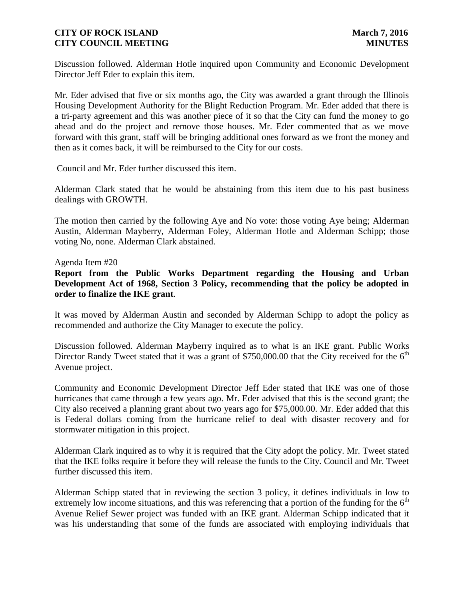Discussion followed. Alderman Hotle inquired upon Community and Economic Development Director Jeff Eder to explain this item.

Mr. Eder advised that five or six months ago, the City was awarded a grant through the Illinois Housing Development Authority for the Blight Reduction Program. Mr. Eder added that there is a tri-party agreement and this was another piece of it so that the City can fund the money to go ahead and do the project and remove those houses. Mr. Eder commented that as we move forward with this grant, staff will be bringing additional ones forward as we front the money and then as it comes back, it will be reimbursed to the City for our costs.

Council and Mr. Eder further discussed this item.

Alderman Clark stated that he would be abstaining from this item due to his past business dealings with GROWTH.

The motion then carried by the following Aye and No vote: those voting Aye being; Alderman Austin, Alderman Mayberry, Alderman Foley, Alderman Hotle and Alderman Schipp; those voting No, none. Alderman Clark abstained.

#### Agenda Item #20

**Report from the Public Works Department regarding the Housing and Urban Development Act of 1968, Section 3 Policy, recommending that the policy be adopted in order to finalize the IKE grant**.

It was moved by Alderman Austin and seconded by Alderman Schipp to adopt the policy as recommended and authorize the City Manager to execute the policy.

Discussion followed. Alderman Mayberry inquired as to what is an IKE grant. Public Works Director Randy Tweet stated that it was a grant of \$750,000.00 that the City received for the  $6<sup>th</sup>$ Avenue project.

Community and Economic Development Director Jeff Eder stated that IKE was one of those hurricanes that came through a few years ago. Mr. Eder advised that this is the second grant; the City also received a planning grant about two years ago for \$75,000.00. Mr. Eder added that this is Federal dollars coming from the hurricane relief to deal with disaster recovery and for stormwater mitigation in this project.

Alderman Clark inquired as to why it is required that the City adopt the policy. Mr. Tweet stated that the IKE folks require it before they will release the funds to the City. Council and Mr. Tweet further discussed this item.

Alderman Schipp stated that in reviewing the section 3 policy, it defines individuals in low to extremely low income situations, and this was referencing that a portion of the funding for the  $6<sup>th</sup>$ Avenue Relief Sewer project was funded with an IKE grant. Alderman Schipp indicated that it was his understanding that some of the funds are associated with employing individuals that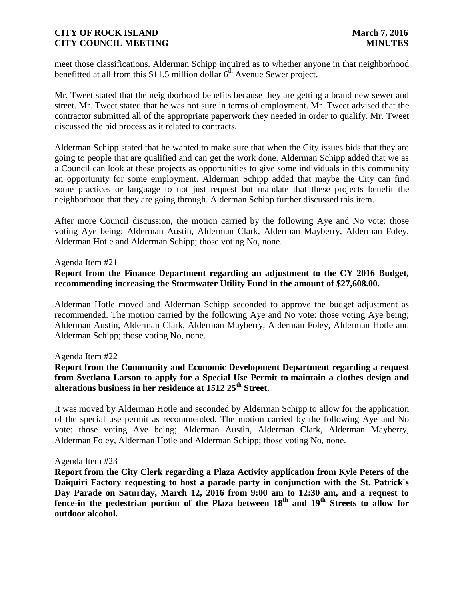meet those classifications. Alderman Schipp inquired as to whether anyone in that neighborhood benefitted at all from this \$11.5 million dollar  $6<sup>th</sup>$  Avenue Sewer project.

Mr. Tweet stated that the neighborhood benefits because they are getting a brand new sewer and street. Mr. Tweet stated that he was not sure in terms of employment. Mr. Tweet advised that the contractor submitted all of the appropriate paperwork they needed in order to qualify. Mr. Tweet discussed the bid process as it related to contracts.

Alderman Schipp stated that he wanted to make sure that when the City issues bids that they are going to people that are qualified and can get the work done. Alderman Schipp added that we as a Council can look at these projects as opportunities to give some individuals in this community an opportunity for some employment. Alderman Schipp added that maybe the City can find some practices or language to not just request but mandate that these projects benefit the neighborhood that they are going through. Alderman Schipp further discussed this item.

After more Council discussion, the motion carried by the following Aye and No vote: those voting Aye being; Alderman Austin, Alderman Clark, Alderman Mayberry, Alderman Foley, Alderman Hotle and Alderman Schipp; those voting No, none.

### Agenda Item #21

## **Report from the Finance Department regarding an adjustment to the CY 2016 Budget, recommending increasing the Stormwater Utility Fund in the amount of \$27,608.00.**

Alderman Hotle moved and Alderman Schipp seconded to approve the budget adjustment as recommended. The motion carried by the following Aye and No vote: those voting Aye being; Alderman Austin, Alderman Clark, Alderman Mayberry, Alderman Foley, Alderman Hotle and Alderman Schipp; those voting No, none.

#### Agenda Item #22

## **Report from the Community and Economic Development Department regarding a request from Svetlana Larson to apply for a Special Use Permit to maintain a clothes design and alterations business in her residence at 1512 25th Street.**

It was moved by Alderman Hotle and seconded by Alderman Schipp to allow for the application of the special use permit as recommended. The motion carried by the following Aye and No vote: those voting Aye being; Alderman Austin, Alderman Clark, Alderman Mayberry, Alderman Foley, Alderman Hotle and Alderman Schipp; those voting No, none.

#### Agenda Item #23

**Report from the City Clerk regarding a Plaza Activity application from Kyle Peters of the Daiquiri Factory requesting to host a parade party in conjunction with the St. Patrick's Day Parade on Saturday, March 12, 2016 from 9:00 am to 12:30 am, and a request to fence-in the pedestrian portion of the Plaza between 18th and 19th Streets to allow for outdoor alcohol.**